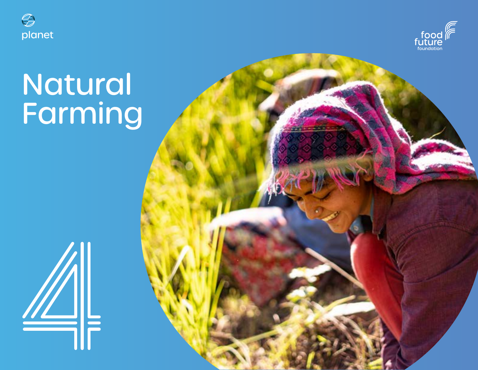



# Natural Farming

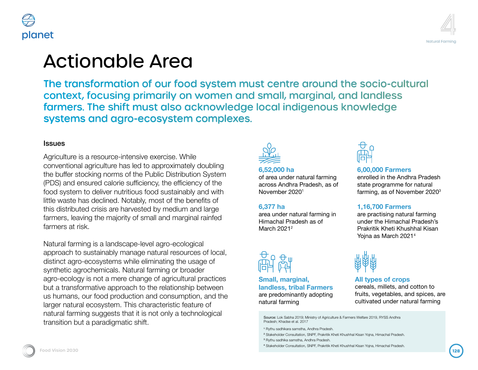



# **Ltionable Area**

transformation of our food system must centre around the socio-cultural itext, focusing primarily on women and small, marginal, and landless ners. The shift must also acknowledge local indigenous knowledge tems and agro-ecosystem complexes.

Liture is a resource-intensive exercise. While entional agriculture has led to approximately doubling Iffer stocking norms of the Public Distribution System and ensured calorie sufficiency, the efficiency of the system to deliver nutritious food sustainably and with vaste has declined. Notably, most of the benefits of istributed crisis are harvested by medium and large rs, leaving the majority of small and marginal rainfed rs at risk.

al farming is a landscape-level agro-ecological ach to sustainably manage natural resources of local, pt agro-ecosystems while eliminating the usage of etic agrochemicals. Natural farming or broader ecology is not a mere change of agricultural practices transformative approach to the relationship between mans, our food production and consumption, and the natural ecosystem. This characteristic feature of al farming suggests that it is not only a technological tion but a paradigmatic shift.



#### **6,52,000 ha**

of area under natural farming across Andhra Pradesh, as of November 20201

### **6,377 ha**

area under natural farming in Himachal Pradesh as of March 2021<sup>2</sup>



**Small, marginal, landless, tribal Farmers** are predominantly adopting natural farming



**6,00,000 Farmers** enrolled in the Andhra Pradesh state programme for natural farming, as of November 20203

### **1,16,700 Farmers**

are practising natural farming under the Himachal Pradesh's Prakritik Kheti Khushhal Kisan Yojna as March 20214



### **All types of crops**

cereals, millets, and cotton to fruits, vegetables, and spices, are cultivated under natural farming

4 Stakeholder Consultation, SNPF, Prakritik Kheti Khushhal Kisan Yojna, Himachal Pradesh.

ls

Source: Lok Sabha 2019; Ministry of Agriculture & Farmers Welfare 2019, RYSS Andhra Pradesh; Khadse et al. 2017

<sup>1</sup> Rythu sadhikara samstha, Andhra Pradesh.

<sup>2</sup> Stakeholder Consultation, SNPF, Prakritik Kheti Khushhal Kisan Yojna, Himachal Pradesh.

<sup>3</sup> Rythu sadhika samstha, Andhra Pradesh.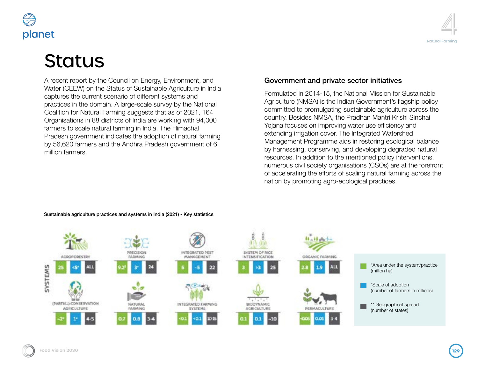

# **Status**

A recent report by the Council on Energy, Environment, and Water (CEEW) on the Status of Sustainable Agriculture in India captures the current scenario of different systems and practices in the domain. A large-scale survey by the National Coalition for Natural Farming suggests that as of 2021, 164 Organisations in 88 districts of India are working with 94,000 farmers to scale natural farming in India. The Himachal Pradesh government indicates the adoption of natural farming by 56,620 farmers and the Andhra Pradesh government of 6 million farmers.



### Government and private sector initiatives

Formulated in 2014-15, the National Mission for Sustainable Agriculture (NMSA) is the Indian Government's flagship policy committed to promulgating sustainable agriculture across the country. Besides NMSA, the Pradhan Mantri Krishi Sinchai Yojana focuses on improving water use efficiency and extending irrigation cover. The Integrated Watershed Management Programme aids in restoring ecological balance by harnessing, conserving, and developing degraded natural resources. In addition to the mentioned policy interventions, numerous civil society organisations (CSOs) are at the forefront of accelerating the efforts of scaling natural farming across the nation by promoting agro-ecological practices.



#### Sustainable agriculture practices and systems in India (2021) - Key statistics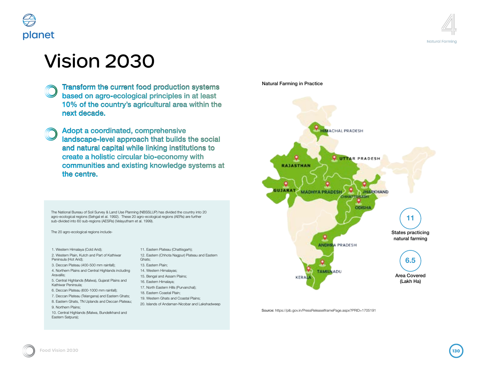

## Vision 2030

Transform the current food production systems based on agro-ecological principles in at least 10% of the country's agricultural area within the next decade.

Adopt a coordinated, comprehensive landscape-level approach that builds the social and natural capital while linking institutions to create a holistic circular bio-economy with communities and existing knowledge systems at the centre.

The National Bureau of Soil Survey & Land Use Planning (NBSSLUP) has divided the country into 20 agro-ecological regions (Sehgal et al. 1992). These 20 agro-ecological regions (AERs) are further sub-divided into 60 sub-regions (AESRs) (Velayutham et al. 1999).

The 20 agro-ecological regions include-

- 1. Western Himalaya (Cold Arid);
- 2. Western Plain, Kutch and Part of Kathiwar Peninsula (Hot Arid);
- 3. Deccan Plateau (400-500 mm rainfall);

4. Northern Plains and Central Highlands including Aravallis;

- 5. Central Highlands (Malwa), Gujarat Plains and Kathiwar Peninsula;
- 6. Deccan Plateau (600-1000 mm rainfall);
- 7. Deccan Plateau (Telangana) and Eastern Ghats; 8. Eastern Ghats, TN Uplands and Deccan Plateau;
- 9. Northern Plains;
- 10. Central Highlands (Malwa, Bundelkhand and Eastern Satpura);
- 11. Eastern Plateau (Chattisgarh); 12. Eastern (Chhota Nagpur) Plateau and Eastern Ghats; 13. Eastern Plain;
- 14. Western Himalayas;
- 15. Bengal and Assam Plains;
- 16. Eastern Himalaya;
- 17. North Eastern Hills (Purvanchal);
- 18. Eastern Coastal Plain; 19. Western Ghats and Coastal Plains;
- 20. Islands of Andaman-Nicobar and Lakshadweep

Natural Farming in Practice



Source: https://pib.gov.in/PressReleaseIframePage.aspx?PRID=1705191

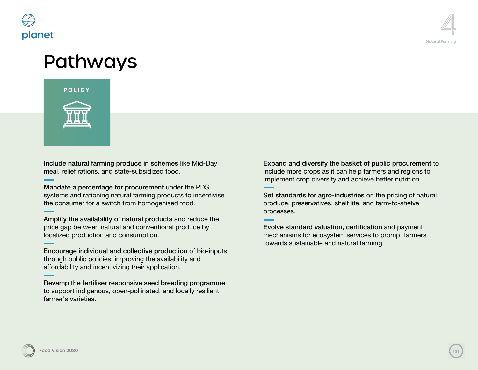



## Pathways



Include natural farming produce in schemes like Mid-Day meal, relief rations, and state-subsidized food.

Mandate a percentage for procurement under the PDS systems and rationing natural farming products to incentivise the consumer for a switch from homogenised food.

Amplify the availability of natural products and reduce the price gap between natural and conventional produce by localized production and consumption.

Encourage individual and collective production of bio-inputs through public policies, improving the availability and affordability and incentivizing their application.

Revamp the fertiliser responsive seed breeding programme to support indigenous, open-pollinated, and locally resilient farmer's varieties.

Expand and diversify the basket of public procurement to include more crops as it can help farmers and regions to implement crop diversity and achieve better nutrition.

Set standards for agro-industries on the pricing of natural produce, preservatives, shelf life, and farm-to-shelve processes.

Evolve standard valuation, certification and payment mechanisms for ecosystem services to prompt farmers towards sustainable and natural farming.